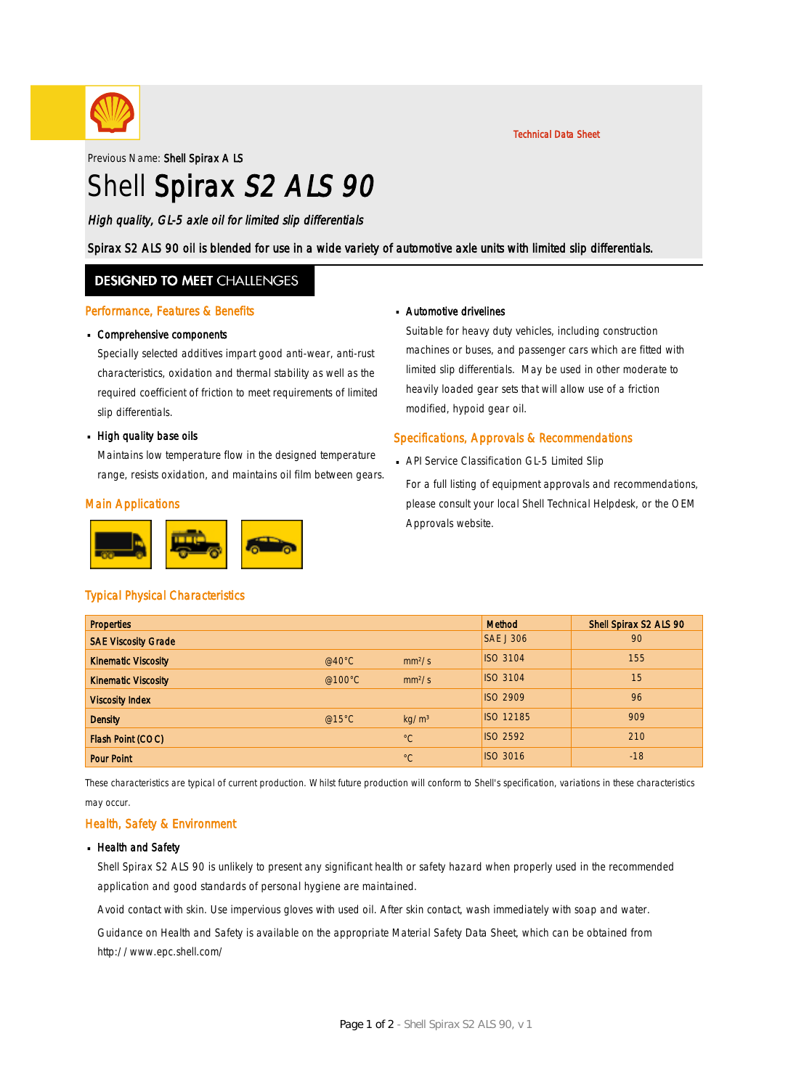

Previous Name: Shell Spirax A LS

# Shell Spirax S2 ALS 90

High quality, GL-5 axle oil for limited slip differentials

Spirax S2 ALS 90 oil is blended for use in a wide variety of automotive axle units with limited slip differentials.

### **DESIGNED TO MEET CHALLENGES**

#### Performance, Features & Benefits

# Comprehensive components ·

Specially selected additives impart good anti-wear, anti-rust characteristics, oxidation and thermal stability as well as the required coefficient of friction to meet requirements of limited slip differentials.

# • High quality base oils

Maintains low temperature flow in the designed temperature range, resists oxidation, and maintains oil film between gears.

#### Main Applications



# Automotive drivelines ·

Suitable for heavy duty vehicles, including construction machines or buses, and passenger cars which are fitted with limited slip differentials. May be used in other moderate to heavily loaded gear sets that will allow use of a friction modified, hypoid gear oil.

Technical Data Sheet

#### Specifications, Approvals & Recommendations

- API Service Classification GL-5 Limited Slip ·
	- For a full listing of equipment approvals and recommendations, please consult your local Shell Technical Helpdesk, or the OEM Approvals website.

#### Typical Physical Characteristics

| <b>Properties</b>          |                  |                    | Method           | Shell Spirax S2 ALS 90 |
|----------------------------|------------------|--------------------|------------------|------------------------|
| <b>SAE Viscosity Grade</b> |                  |                    | <b>SAE J 306</b> | 90                     |
| <b>Kinematic Viscosity</b> | @40 $^{\circ}$ C | mm <sup>2</sup> /s | <b>ISO 3104</b>  | 155                    |
| <b>Kinematic Viscosity</b> | @100 $\degree$ C | mm <sup>2</sup> /s | <b>ISO 3104</b>  | 15                     |
| <b>Viscosity Index</b>     |                  |                    | <b>ISO 2909</b>  | 96                     |
| <b>Density</b>             | @15 $°C$         | kg/m <sup>3</sup>  | <b>ISO 12185</b> | 909                    |
| Flash Point (COC)          |                  | $^{\circ}C$        | <b>ISO 2592</b>  | 210                    |
| <b>Pour Point</b>          |                  | $^{\circ}C$        | <b>ISO 3016</b>  | $-18$                  |

These characteristics are typical of current production. Whilst future production will conform to Shell's specification, variations in these characteristics may occur.

#### Health, Safety & Environment

#### **Health and Safety**

Shell Spirax S2 ALS 90 is unlikely to present any significant health or safety hazard when properly used in the recommended application and good standards of personal hygiene are maintained.

Avoid contact with skin. Use impervious gloves with used oil. After skin contact, wash immediately with soap and water.

Guidance on Health and Safety is available on the appropriate Material Safety Data Sheet, which can be obtained from http://www.epc.shell.com/